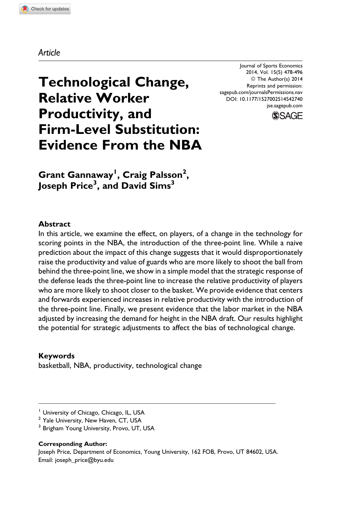## Article

Technological Change, Relative Worker Productivity, and Firm-Level Substitution: Evidence From the NBA

Journal of Sports Economics 2014, Vol. 15(5) 478-496 © The Author(s) 2014 Reprints and permission: [sagepub.com/journalsPermissions.nav](http://www.sagepub.com/journalsPermissions.nav) DOI: 10.1177/1527002514542740 [jse.sagepub.com](http://jse.sagepub.com)



Grant Gannaway<sup>1</sup>, Craig Palsson<sup>2</sup>, Joseph Price $^3$ , and David Sims $^3$ 

## Abstract

In this article, we examine the effect, on players, of a change in the technology for scoring points in the NBA, the introduction of the three-point line. While a naive prediction about the impact of this change suggests that it would disproportionately raise the productivity and value of guards who are more likely to shoot the ball from behind the three-point line, we show in a simple model that the strategic response of the defense leads the three-point line to increase the relative productivity of players who are more likely to shoot closer to the basket. We provide evidence that centers and forwards experienced increases in relative productivity with the introduction of the three-point line. Finally, we present evidence that the labor market in the NBA adjusted by increasing the demand for height in the NBA draft. Our results highlight the potential for strategic adjustments to affect the bias of technological change.

#### Keywords

basketball, NBA, productivity, technological change

#### Corresponding Author:

Joseph Price, Department of Economics, Young University, 162 FOB, Provo, UT 84602, USA. Email: joseph\_price@byu.edu

<sup>&</sup>lt;sup>1</sup> University of Chicago, Chicago, IL, USA

<sup>&</sup>lt;sup>2</sup> Yale University, New Haven, CT, USA

<sup>&</sup>lt;sup>3</sup> Brigham Young University, Provo, UT, USA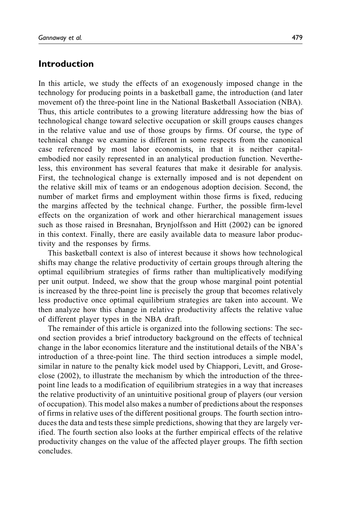# Introduction

In this article, we study the effects of an exogenously imposed change in the technology for producing points in a basketball game, the introduction (and later movement of) the three-point line in the National Basketball Association (NBA). Thus, this article contributes to a growing literature addressing how the bias of technological change toward selective occupation or skill groups causes changes in the relative value and use of those groups by firms. Of course, the type of technical change we examine is different in some respects from the canonical case referenced by most labor economists, in that it is neither capitalembodied nor easily represented in an analytical production function. Nevertheless, this environment has several features that make it desirable for analysis. First, the technological change is externally imposed and is not dependent on the relative skill mix of teams or an endogenous adoption decision. Second, the number of market firms and employment within those firms is fixed, reducing the margins affected by the technical change. Further, the possible firm-level effects on the organization of work and other hierarchical management issues such as those raised in Bresnahan, Brynjolfsson and Hitt (2002) can be ignored in this context. Finally, there are easily available data to measure labor productivity and the responses by firms.

This basketball context is also of interest because it shows how technological shifts may change the relative productivity of certain groups through altering the optimal equilibrium strategies of firms rather than multiplicatively modifying per unit output. Indeed, we show that the group whose marginal point potential is increased by the three-point line is precisely the group that becomes relatively less productive once optimal equilibrium strategies are taken into account. We then analyze how this change in relative productivity affects the relative value of different player types in the NBA draft.

The remainder of this article is organized into the following sections: The second section provides a brief introductory background on the effects of technical change in the labor economics literature and the institutional details of the NBA's introduction of a three-point line. The third section introduces a simple model, similar in nature to the penalty kick model used by Chiappori, Levitt, and Groseclose (2002), to illustrate the mechanism by which the introduction of the threepoint line leads to a modification of equilibrium strategies in a way that increases the relative productivity of an unintuitive positional group of players (our version of occupation). This model also makes a number of predictions about the responses of firms in relative uses of the different positional groups. The fourth section introduces the data and tests these simple predictions, showing that they are largely verified. The fourth section also looks at the further empirical effects of the relative productivity changes on the value of the affected player groups. The fifth section concludes.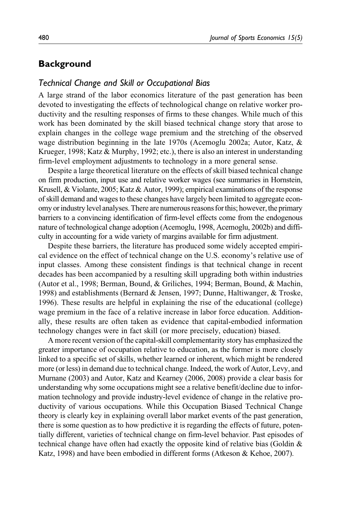# **Background**

### Technical Change and Skill or Occupational Bias

A large strand of the labor economics literature of the past generation has been devoted to investigating the effects of technological change on relative worker productivity and the resulting responses of firms to these changes. While much of this work has been dominated by the skill biased technical change story that arose to explain changes in the college wage premium and the stretching of the observed wage distribution beginning in the late 1970s (Acemoglu 2002a; Autor, Katz, & Krueger, 1998; Katz & Murphy, 1992; etc.), there is also an interest in understanding firm-level employment adjustments to technology in a more general sense.

Despite a large theoretical literature on the effects of skill biased technical change on firm production, input use and relative worker wages (see summaries in Hornstein, Krusell, & Violante, 2005; Katz & Autor, 1999); empirical examinations of the response of skill demand and wages to these changes have largely been limited to aggregate economy or industry level analyses. There are numerous reasons for this; however, the primary barriers to a convincing identification of firm-level effects come from the endogenous nature of technological change adoption (Acemoglu, 1998, Acemoglu, 2002b) and difficulty in accounting for a wide variety of margins available for firm adjustment.

Despite these barriers, the literature has produced some widely accepted empirical evidence on the effect of technical change on the U.S. economy's relative use of input classes. Among these consistent findings is that technical change in recent decades has been accompanied by a resulting skill upgrading both within industries (Autor et al., 1998; Berman, Bound, & Griliches, 1994; Berman, Bound, & Machin, 1998) and establishments (Bernard & Jensen, 1997; Dunne, Haltiwanger, & Troske, 1996). These results are helpful in explaining the rise of the educational (college) wage premium in the face of a relative increase in labor force education. Additionally, these results are often taken as evidence that capital-embodied information technology changes were in fact skill (or more precisely, education) biased.

A more recent version of the capital-skill complementarity story has emphasized the greater importance of occupation relative to education, as the former is more closely linked to a specific set of skills, whether learned or inherent, which might be rendered more (or less) in demand due to technical change. Indeed, the work of Autor, Levy, and Murnane (2003) and Autor, Katz and Kearney (2006, 2008) provide a clear basis for understanding why some occupations might see a relative benefit/decline due to information technology and provide industry-level evidence of change in the relative productivity of various occupations. While this Occupation Biased Technical Change theory is clearly key in explaining overall labor market events of the past generation, there is some question as to how predictive it is regarding the effects of future, potentially different, varieties of technical change on firm-level behavior. Past episodes of technical change have often had exactly the opposite kind of relative bias (Goldin & Katz, 1998) and have been embodied in different forms (Atkeson & Kehoe, 2007).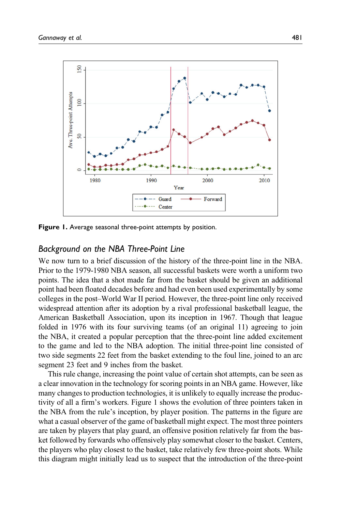

Figure 1. Average seasonal three-point attempts by position.

## Background on the NBA Three-Point Line

We now turn to a brief discussion of the history of the three-point line in the NBA. Prior to the 1979-1980 NBA season, all successful baskets were worth a uniform two points. The idea that a shot made far from the basket should be given an additional point had been floated decades before and had even been used experimentally by some colleges in the post–World War II period. However, the three-point line only received widespread attention after its adoption by a rival professional basketball league, the American Basketball Association, upon its inception in 1967. Though that league folded in 1976 with its four surviving teams (of an original 11) agreeing to join the NBA, it created a popular perception that the three-point line added excitement to the game and led to the NBA adoption. The initial three-point line consisted of two side segments 22 feet from the basket extending to the foul line, joined to an arc segment 23 feet and 9 inches from the basket.

This rule change, increasing the point value of certain shot attempts, can be seen as a clear innovation in the technology for scoring points in an NBA game. However, like many changes to production technologies, it is unlikely to equally increase the productivity of all a firm's workers. Figure 1 shows the evolution of three pointers taken in the NBA from the rule's inception, by player position. The patterns in the figure are what a casual observer of the game of basketball might expect. The most three pointers are taken by players that play guard, an offensive position relatively far from the basket followed by forwards who offensively play somewhat closer to the basket. Centers, the players who play closest to the basket, take relatively few three-point shots. While this diagram might initially lead us to suspect that the introduction of the three-point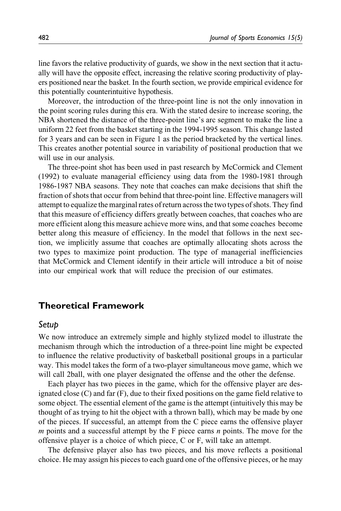line favors the relative productivity of guards, we show in the next section that it actually will have the opposite effect, increasing the relative scoring productivity of players positioned near the basket. In the fourth section, we provide empirical evidence for this potentially counterintuitive hypothesis.

Moreover, the introduction of the three-point line is not the only innovation in the point scoring rules during this era. With the stated desire to increase scoring, the NBA shortened the distance of the three-point line's arc segment to make the line a uniform 22 feet from the basket starting in the 1994-1995 season. This change lasted for 3 years and can be seen in Figure 1 as the period bracketed by the vertical lines. This creates another potential source in variability of positional production that we will use in our analysis.

The three-point shot has been used in past research by McCormick and Clement (1992) to evaluate managerial efficiency using data from the 1980-1981 through 1986-1987 NBA seasons. They note that coaches can make decisions that shift the fraction of shots that occur from behind that three-point line. Effective managers will attempt to equalize the marginal rates of return across the two types of shots. They find that this measure of efficiency differs greatly between coaches, that coaches who are more efficient along this measure achieve more wins, and that some coaches become better along this measure of efficiency. In the model that follows in the next section, we implicitly assume that coaches are optimally allocating shots across the two types to maximize point production. The type of managerial inefficiencies that McCormick and Clement identify in their article will introduce a bit of noise into our empirical work that will reduce the precision of our estimates.

# Theoretical Framework

#### Setup

We now introduce an extremely simple and highly stylized model to illustrate the mechanism through which the introduction of a three-point line might be expected to influence the relative productivity of basketball positional groups in a particular way. This model takes the form of a two-player simultaneous move game, which we will call 2ball, with one player designated the offense and the other the defense.

Each player has two pieces in the game, which for the offensive player are designated close (C) and far (F), due to their fixed positions on the game field relative to some object. The essential element of the game is the attempt (intuitively this may be thought of as trying to hit the object with a thrown ball), which may be made by one of the pieces. If successful, an attempt from the C piece earns the offensive player  *points and a successful attempt by the F piece earns*  $*n*$  *points. The move for the* offensive player is a choice of which piece, C or F, will take an attempt.

The defensive player also has two pieces, and his move reflects a positional choice. He may assign his pieces to each guard one of the offensive pieces, or he may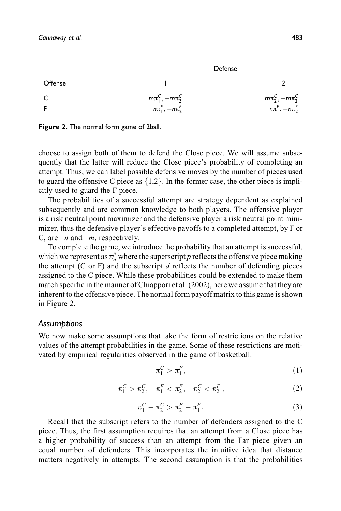|         |                          | Defense                  |  |  |
|---------|--------------------------|--------------------------|--|--|
| Offense |                          |                          |  |  |
|         | $m\pi_1^C$ , $-m\pi_2^C$ | $m\pi_2^C$ , $-m\pi_2^C$ |  |  |
|         | $n\pi_1^F$ , $-n\pi_2^F$ | $n\pi_1^F$ , $-n\pi_2^F$ |  |  |

Figure 2. The normal form game of 2ball.

choose to assign both of them to defend the Close piece. We will assume subsequently that the latter will reduce the Close piece's probability of completing an attempt. Thus, we can label possible defensive moves by the number of pieces used to guard the offensive C piece as  $\{1,2\}$ . In the former case, the other piece is implicitly used to guard the F piece.

The probabilities of a successful attempt are strategy dependent as explained subsequently and are common knowledge to both players. The offensive player is a risk neutral point maximizer and the defensive player a risk neutral point minimizer, thus the defensive player's effective payoffs to a completed attempt, by F or C, are  $-n$  and  $-m$ , respectively.

To complete the game, we introduce the probability that an attempt is successful, which we represent as  $\pi_d^p$  where the superscript p reflects the offensive piece making the attempt  $(C \text{ or } F)$  and the subscript  $d$  reflects the number of defending pieces assigned to the C piece. While these probabilities could be extended to make them match specific in the manner of Chiappori et al. (2002), here we assume that they are inherent to the offensive piece. The normal form payoff matrix to this game is shown in Figure 2.

## **Assumptions**

We now make some assumptions that take the form of restrictions on the relative values of the attempt probabilities in the game. Some of these restrictions are motivated by empirical regularities observed in the game of basketball.

$$
\pi_1^C > \pi_1^F,\tag{1}
$$

$$
\pi_1^C > \pi_2^C, \quad \pi_1^F < \pi_2^F, \quad \pi_2^C < \pi_2^F,
$$
\n(2)

$$
\pi_1^C - \pi_2^C > \pi_2^F - \pi_1^F.
$$
\n(3)

Recall that the subscript refers to the number of defenders assigned to the C piece. Thus, the first assumption requires that an attempt from a Close piece has a higher probability of success than an attempt from the Far piece given an equal number of defenders. This incorporates the intuitive idea that distance matters negatively in attempts. The second assumption is that the probabilities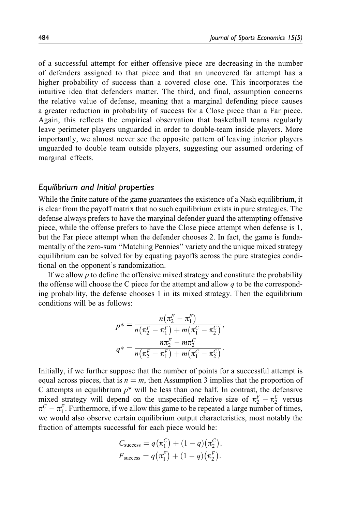of a successful attempt for either offensive piece are decreasing in the number of defenders assigned to that piece and that an uncovered far attempt has a higher probability of success than a covered close one. This incorporates the intuitive idea that defenders matter. The third, and final, assumption concerns the relative value of defense, meaning that a marginal defending piece causes a greater reduction in probability of success for a Close piece than a Far piece. Again, this reflects the empirical observation that basketball teams regularly leave perimeter players unguarded in order to double-team inside players. More importantly, we almost never see the opposite pattern of leaving interior players unguarded to double team outside players, suggesting our assumed ordering of marginal effects.

#### Equilibrium and Initial properties

While the finite nature of the game guarantees the existence of a Nash equilibrium, it is clear from the payoff matrix that no such equilibrium exists in pure strategies. The defense always prefers to have the marginal defender guard the attempting offensive piece, while the offense prefers to have the Close piece attempt when defense is 1, but the Far piece attempt when the defender chooses 2. In fact, the game is fundamentally of the zero-sum ''Matching Pennies'' variety and the unique mixed strategy equilibrium can be solved for by equating payoffs across the pure strategies conditional on the opponent's randomization.

If we allow  $p$  to define the offensive mixed strategy and constitute the probability the offense will choose the C piece for the attempt and allow  $q$  to be the corresponding probability, the defense chooses 1 in its mixed strategy. Then the equilibrium conditions will be as follows:

$$
p^* = \frac{n(\pi_2^F - \pi_1^F)}{n(\pi_2^F - \pi_1^F) + m(\pi_1^C - \pi_2^C)},
$$
  

$$
q^* = \frac{n\pi_2^F - m\pi_2^C}{n(\pi_2^F - \pi_1^F) + m(\pi_1^C - \pi_2^C)}.
$$

Initially, if we further suppose that the number of points for a successful attempt is equal across pieces, that is  $n = m$ , then Assumption 3 implies that the proportion of C attempts in equilibrium  $p^*$  will be less than one half. In contrast, the defensive mixed strategy will depend on the unspecified relative size of  $\pi_2^F - \pi_2^C$  versus  $\pi_1^C - \pi_1^F$ . Furthermore, if we allow this game to be repeated a large number of times, we would also observe certain equilibrium output characteristics, most notably the fraction of attempts successful for each piece would be:

$$
C_{\text{success}} = q(\pi_1^C) + (1 - q)(\pi_2^C),
$$
  
\n
$$
F_{\text{success}} = q(\pi_1^F) + (1 - q)(\pi_2^F).
$$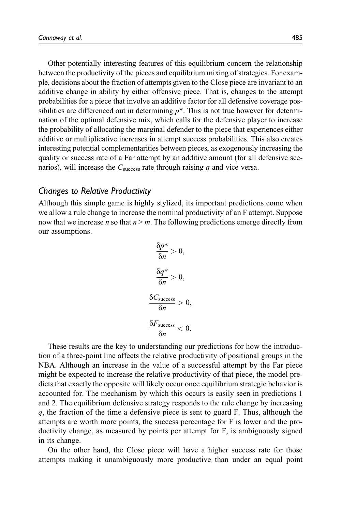Other potentially interesting features of this equilibrium concern the relationship between the productivity of the pieces and equilibrium mixing of strategies. For example, decisions about the fraction of attempts given to the Close piece are invariant to an additive change in ability by either offensive piece. That is, changes to the attempt probabilities for a piece that involve an additive factor for all defensive coverage possibilities are differenced out in determining  $p^*$ . This is not true however for determination of the optimal defensive mix, which calls for the defensive player to increase the probability of allocating the marginal defender to the piece that experiences either additive or multiplicative increases in attempt success probabilities. This also creates interesting potential complementarities between pieces, as exogenously increasing the quality or success rate of a Far attempt by an additive amount (for all defensive scenarios), will increase the  $C<sub>success</sub>$  rate through raising q and vice versa.

### Changes to Relative Productivity

Although this simple game is highly stylized, its important predictions come when we allow a rule change to increase the nominal productivity of an F attempt. Suppose now that we increase *n* so that  $n > m$ . The following predictions emerge directly from our assumptions.

$$
\frac{\delta p^*}{\delta n} > 0,
$$
\n
$$
\frac{\delta q^*}{\delta n} > 0,
$$
\n
$$
\frac{\delta C_{\text{success}}}{\delta n} > 0,
$$
\n
$$
\frac{\delta F_{\text{success}}}{\delta n} < 0.
$$

These results are the key to understanding our predictions for how the introduction of a three-point line affects the relative productivity of positional groups in the NBA. Although an increase in the value of a successful attempt by the Far piece might be expected to increase the relative productivity of that piece, the model predicts that exactly the opposite will likely occur once equilibrium strategic behavior is accounted for. The mechanism by which this occurs is easily seen in predictions 1 and 2. The equilibrium defensive strategy responds to the rule change by increasing  $q$ , the fraction of the time a defensive piece is sent to guard F. Thus, although the attempts are worth more points, the success percentage for F is lower and the productivity change, as measured by points per attempt for F, is ambiguously signed in its change.

On the other hand, the Close piece will have a higher success rate for those attempts making it unambiguously more productive than under an equal point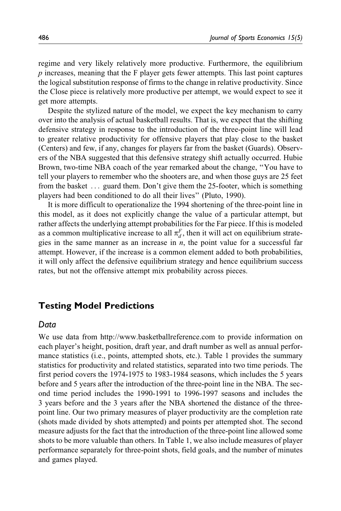regime and very likely relatively more productive. Furthermore, the equilibrium  $p$  increases, meaning that the  $F$  player gets fewer attempts. This last point captures the logical substitution response of firms to the change in relative productivity. Since the Close piece is relatively more productive per attempt, we would expect to see it get more attempts.

Despite the stylized nature of the model, we expect the key mechanism to carry over into the analysis of actual basketball results. That is, we expect that the shifting defensive strategy in response to the introduction of the three-point line will lead to greater relative productivity for offensive players that play close to the basket (Centers) and few, if any, changes for players far from the basket (Guards). Observers of the NBA suggested that this defensive strategy shift actually occurred. Hubie Brown, two-time NBA coach of the year remarked about the change, ''You have to tell your players to remember who the shooters are, and when those guys are 25 feet from the basket ... guard them. Don't give them the 25-footer, which is something players had been conditioned to do all their lives'' (Pluto, 1990).

It is more difficult to operationalize the 1994 shortening of the three-point line in this model, as it does not explicitly change the value of a particular attempt, but rather affects the underlying attempt probabilities for the Far piece. If this is modeled as a common multiplicative increase to all  $\pi_d^F$ , then it will act on equilibrium strategies in the same manner as an increase in  $n$ , the point value for a successful far attempt. However, if the increase is a common element added to both probabilities, it will only affect the defensive equilibrium strategy and hence equilibrium success rates, but not the offensive attempt mix probability across pieces.

# Testing Model Predictions

### Data

We use data from<http://www.basketballreference.com> to provide information on each player's height, position, draft year, and draft number as well as annual performance statistics (i.e., points, attempted shots, etc.). Table 1 provides the summary statistics for productivity and related statistics, separated into two time periods. The first period covers the 1974-1975 to 1983-1984 seasons, which includes the 5 years before and 5 years after the introduction of the three-point line in the NBA. The second time period includes the 1990-1991 to 1996-1997 seasons and includes the 3 years before and the 3 years after the NBA shortened the distance of the threepoint line. Our two primary measures of player productivity are the completion rate (shots made divided by shots attempted) and points per attempted shot. The second measure adjusts for the fact that the introduction of the three-point line allowed some shots to be more valuable than others. In Table 1, we also include measures of player performance separately for three-point shots, field goals, and the number of minutes and games played.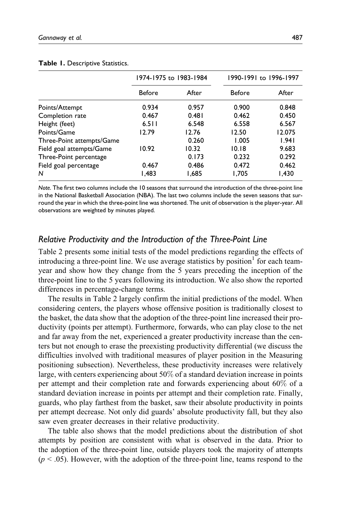|                           | 1974-1975 to 1983-1984 |       |               | 1990-1991 to 1996-1997 |  |
|---------------------------|------------------------|-------|---------------|------------------------|--|
|                           | <b>Before</b>          | After | <b>Before</b> | After                  |  |
| Points/Attempt            | 0.934                  | 0.957 | 0.900         | 0.848                  |  |
| Completion rate           | 0.467                  | 0.481 | 0.462         | 0.450                  |  |
| Height (feet)             | 6.511                  | 6.548 | 6.558         | 6.567                  |  |
| Points/Game               | 12.79                  | 12.76 | 12.50         | 12.075                 |  |
| Three-Point attempts/Game |                        | 0.260 | 1.005         | 1.941                  |  |
| Field goal attempts/Game  | 10.92                  | 10.32 | 10.18         | 9.683                  |  |
| Three-Point percentage    |                        | 0.173 | 0.232         | 0.292                  |  |
| Field goal percentage     | 0.467                  | 0.486 | 0.472         | 0.462                  |  |
| N                         | 1,483                  | 1,685 | 1.705         | 1,430                  |  |

#### Table 1. Descriptive Statistics.

Note. The first two columns include the 10 seasons that surround the introduction of the three-point line in the National Basketball Association (NBA). The last two columns include the seven seasons that surround the year in which the three-point line was shortened. The unit of observation is the player-year. All observations are weighted by minutes played.

# Relative Productivity and the Introduction of the Three-Point Line

Table 2 presents some initial tests of the model predictions regarding the effects of introducing a three-point line. We use average statistics by position  $\frac{1}{1}$  for each teamyear and show how they change from the 5 years preceding the inception of the three-point line to the 5 years following its introduction. We also show the reported differences in percentage-change terms.

The results in Table 2 largely confirm the initial predictions of the model. When considering centers, the players whose offensive position is traditionally closest to the basket, the data show that the adoption of the three-point line increased their productivity (points per attempt). Furthermore, forwards, who can play close to the net and far away from the net, experienced a greater productivity increase than the centers but not enough to erase the preexisting productivity differential (we discuss the difficulties involved with traditional measures of player position in the Measuring positioning subsection). Nevertheless, these productivity increases were relatively large, with centers experiencing about 50% of a standard deviation increase in points per attempt and their completion rate and forwards experiencing about 60% of a standard deviation increase in points per attempt and their completion rate. Finally, guards, who play farthest from the basket, saw their absolute productivity in points per attempt decrease. Not only did guards' absolute productivity fall, but they also saw even greater decreases in their relative productivity.

The table also shows that the model predictions about the distribution of shot attempts by position are consistent with what is observed in the data. Prior to the adoption of the three-point line, outside players took the majority of attempts  $(p < .05)$ . However, with the adoption of the three-point line, teams respond to the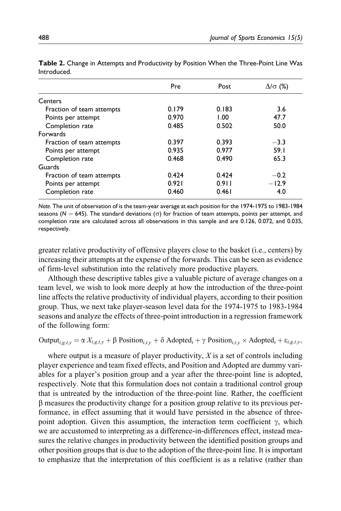|                           | Pre   | Post  | $\Delta/\sigma$ (%) |
|---------------------------|-------|-------|---------------------|
| Centers                   |       |       |                     |
| Fraction of team attempts | 0.179 | 0.183 | 3.6                 |
| Points per attempt        | 0.970 | 1.00  | 47.7                |
| Completion rate           | 0.485 | 0.502 | 50.0                |
| <b>Forwards</b>           |       |       |                     |
| Fraction of team attempts | 0.397 | 0.393 | $-3.3$              |
| Points per attempt        | 0.935 | 0.977 | 59.1                |
| Completion rate           | 0.468 | 0.490 | 65.3                |
| Guards                    |       |       |                     |
| Fraction of team attempts | 0.424 | 0.424 | $-0.2$              |
| Points per attempt        | 0.921 | 0.911 | $-12.9$             |
| Completion rate           | 0.460 | 0.461 | 4.0                 |

Table 2. Change in Attempts and Productivity by Position When the Three-Point Line Was Introduced.

Note. The unit of observation of is the team-year average at each position for the 1974-1975 to 1983-1984 seasons ( $N = 645$ ). The standard deviations ( $\sigma$ ) for fraction of team attempts, points per attempt, and completion rate are calculated across all observations in this sample and are 0.126, 0.072, and 0.035, respectively.

greater relative productivity of offensive players close to the basket (i.e., centers) by increasing their attempts at the expense of the forwards. This can be seen as evidence of firm-level substitution into the relatively more productive players.

Although these descriptive tables give a valuable picture of average changes on a team level, we wish to look more deeply at how the introduction of the three-point line affects the relative productivity of individual players, according to their position group. Thus, we next take player-season level data for the 1974-1975 to 1983-1984 seasons and analyze the effects of three-point introduction in a regression framework of the following form:

Output<sub>igity</sub> =  $\alpha X_{i,g,t,y}$  +  $\beta$  Position<sub>ity</sub> +  $\delta$  Adopted<sub>t</sub> +  $\gamma$  Position<sub>ity</sub>  $\times$  Adopted<sub>t</sub> +  $\varepsilon_{i,g,t,y}$ ;

where output is a measure of player productivity,  $X$  is a set of controls including player experience and team fixed effects, and Position and Adopted are dummy variables for a player's position group and a year after the three-point line is adopted, respectively. Note that this formulation does not contain a traditional control group that is untreated by the introduction of the three-point line. Rather, the coefficient  $\beta$  measures the productivity change for a position group relative to its previous performance, in effect assuming that it would have persisted in the absence of threepoint adoption. Given this assumption, the interaction term coefficient  $\gamma$ , which we are accustomed to interpreting as a difference-in-differences effect, instead measures the relative changes in productivity between the identified position groups and other position groups that is due to the adoption of the three-point line. It is important to emphasize that the interpretation of this coefficient is as a relative (rather than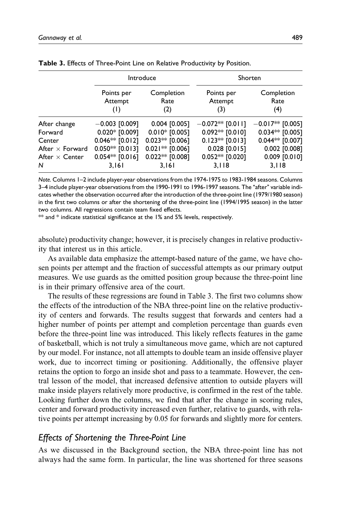|                        |                              | Introduce                 | Shorten                      |                           |  |
|------------------------|------------------------------|---------------------------|------------------------------|---------------------------|--|
|                        | Points per<br>Attempt<br>(1) | Completion<br>Rate<br>(2) | Points per<br>Attempt<br>(3) | Completion<br>Rate<br>(4) |  |
| After change           | $-0.003$ [0.009]             | $0.004$ [0.005]           | $-0.072**$ [0.011]           | $-0.017**$ [0.005]        |  |
| Forward                | $0.020*$ [0.009]             | $0.010*$ [0.005]          | $0.092**$ [0.010]            | $0.034**$ [0.005]         |  |
| Center                 | $0.046**$ [0.012]            | $0.023**$ [0.006]         | $0.123**$ [0.013]            | $0.044**$ [0.007]         |  |
| After $\times$ Forward | $0.050**$ [0.013]            | $0.021**$ [0.006]         | $0.028$ [0.015]              | 0.002 [0.008]             |  |
| After $\times$ Center  | $0.054**$ [0.016]            | $0.022**$ [0.008]         | $0.052**$ [0.020]            | $0.009$ [0.010]           |  |
| N                      | 3.161                        | 3,161                     | 3.118                        | 3,118                     |  |

|  |  | Table 3. Effects of Three-Point Line on Relative Productivity by Position. |  |  |  |  |
|--|--|----------------------------------------------------------------------------|--|--|--|--|
|--|--|----------------------------------------------------------------------------|--|--|--|--|

Note. Columns 1–2 include player-year observations from the 1974-1975 to 1983-1984 seasons. Columns 3-4 include player-year observations from the 1990-1991 to 1996-1997 seasons. The "after" variable indicates whether the observation occurred after the introduction of the three-point line (1979/1980 season) in the first two columns or after the shortening of the three-point line (1994/1995 season) in the latter two columns. All regressions contain team fixed effects.

\*\* and \* indicate statistical significance at the 1% and 5% levels, respectively.

absolute) productivity change; however, it is precisely changes in relative productivity that interest us in this article.

As available data emphasize the attempt-based nature of the game, we have chosen points per attempt and the fraction of successful attempts as our primary output measures. We use guards as the omitted position group because the three-point line is in their primary offensive area of the court.

The results of these regressions are found in Table 3. The first two columns show the effects of the introduction of the NBA three-point line on the relative productivity of centers and forwards. The results suggest that forwards and centers had a higher number of points per attempt and completion percentage than guards even before the three-point line was introduced. This likely reflects features in the game of basketball, which is not truly a simultaneous move game, which are not captured by our model. For instance, not all attempts to double team an inside offensive player work, due to incorrect timing or positioning. Additionally, the offensive player retains the option to forgo an inside shot and pass to a teammate. However, the central lesson of the model, that increased defensive attention to outside players will make inside players relatively more productive, is confirmed in the rest of the table. Looking further down the columns, we find that after the change in scoring rules, center and forward productivity increased even further, relative to guards, with relative points per attempt increasing by 0.05 for forwards and slightly more for centers.

# Effects of Shortening the Three-Point Line

As we discussed in the Background section, the NBA three-point line has not always had the same form. In particular, the line was shortened for three seasons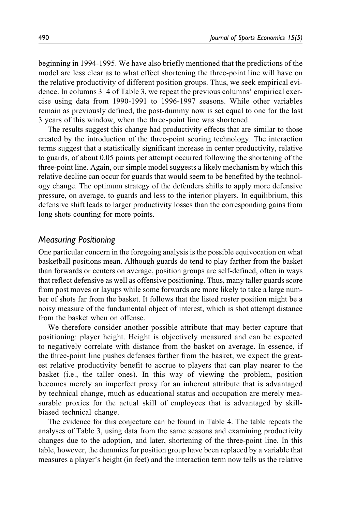beginning in 1994-1995. We have also briefly mentioned that the predictions of the model are less clear as to what effect shortening the three-point line will have on the relative productivity of different position groups. Thus, we seek empirical evidence. In columns 3–4 of Table 3, we repeat the previous columns' empirical exercise using data from 1990-1991 to 1996-1997 seasons. While other variables remain as previously defined, the post-dummy now is set equal to one for the last 3 years of this window, when the three-point line was shortened.

The results suggest this change had productivity effects that are similar to those created by the introduction of the three-point scoring technology. The interaction terms suggest that a statistically significant increase in center productivity, relative to guards, of about 0.05 points per attempt occurred following the shortening of the three-point line. Again, our simple model suggests a likely mechanism by which this relative decline can occur for guards that would seem to be benefited by the technology change. The optimum strategy of the defenders shifts to apply more defensive pressure, on average, to guards and less to the interior players. In equilibrium, this defensive shift leads to larger productivity losses than the corresponding gains from long shots counting for more points.

### Measuring Positioning

One particular concern in the foregoing analysis is the possible equivocation on what basketball positions mean. Although guards do tend to play farther from the basket than forwards or centers on average, position groups are self-defined, often in ways that reflect defensive as well as offensive positioning. Thus, many taller guards score from post moves or layups while some forwards are more likely to take a large number of shots far from the basket. It follows that the listed roster position might be a noisy measure of the fundamental object of interest, which is shot attempt distance from the basket when on offense.

We therefore consider another possible attribute that may better capture that positioning: player height. Height is objectively measured and can be expected to negatively correlate with distance from the basket on average. In essence, if the three-point line pushes defenses farther from the basket, we expect the greatest relative productivity benefit to accrue to players that can play nearer to the basket (i.e., the taller ones). In this way of viewing the problem, position becomes merely an imperfect proxy for an inherent attribute that is advantaged by technical change, much as educational status and occupation are merely measurable proxies for the actual skill of employees that is advantaged by skillbiased technical change.

The evidence for this conjecture can be found in Table 4. The table repeats the analyses of Table 3, using data from the same seasons and examining productivity changes due to the adoption, and later, shortening of the three-point line. In this table, however, the dummies for position group have been replaced by a variable that measures a player's height (in feet) and the interaction term now tells us the relative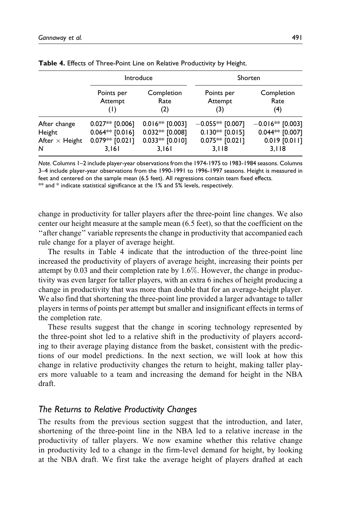|                       | Introduce         |                   | Shorten            |                    |  |
|-----------------------|-------------------|-------------------|--------------------|--------------------|--|
|                       | Points per        | Completion        | Points per         | Completion         |  |
|                       | Attempt           | Rate              | Attempt            | Rate               |  |
|                       | (1)               | (2)               | (3)                | (4)                |  |
| After change          | $0.027**$ [0.006] | $0.016**$ [0.003] | $-0.055**$ [0.007] | $-0.016**$ [0.003] |  |
| Height                | $0.064**$ [0.016] | $0.032**$ [0.008] | $0.130**$ [0.015]  | $0.044**$ [0.007]  |  |
| After $\times$ Height | $0.079**$ [0.021] | $0.033**$ [0.010] | $0.075**$ [0.021]  | $0.019$ [0.011]    |  |
| N                     | 3,161             | 3,161             | 3,118              | 3,118              |  |

|  | Table 4. Effects of Three-Point Line on Relative Productivity by Height. |  |  |  |  |
|--|--------------------------------------------------------------------------|--|--|--|--|
|--|--------------------------------------------------------------------------|--|--|--|--|

Note. Columns 1–2 include player-year observations from the 1974-1975 to 1983-1984 seasons. Columns 3–4 include player-year observations from the 1990-1991 to 1996-1997 seasons. Height is measured in feet and centered on the sample mean (6.5 feet). All regressions contain team fixed effects.  $**$  and  $*$  indicate statistical significance at the 1% and 5% levels, respectively.

change in productivity for taller players after the three-point line changes. We also center our height measure at the sample mean (6.5 feet), so that the coefficient on the "after change" variable represents the change in productivity that accompanied each rule change for a player of average height.

The results in Table 4 indicate that the introduction of the three-point line increased the productivity of players of average height, increasing their points per attempt by 0.03 and their completion rate by 1.6%. However, the change in productivity was even larger for taller players, with an extra 6 inches of height producing a change in productivity that was more than double that for an average-height player. We also find that shortening the three-point line provided a larger advantage to taller players in terms of points per attempt but smaller and insignificant effects in terms of the completion rate.

These results suggest that the change in scoring technology represented by the three-point shot led to a relative shift in the productivity of players according to their average playing distance from the basket, consistent with the predictions of our model predictions. In the next section, we will look at how this change in relative productivity changes the return to height, making taller players more valuable to a team and increasing the demand for height in the NBA draft.

## The Returns to Relative Productivity Changes

The results from the previous section suggest that the introduction, and later, shortening of the three-point line in the NBA led to a relative increase in the productivity of taller players. We now examine whether this relative change in productivity led to a change in the firm-level demand for height, by looking at the NBA draft. We first take the average height of players drafted at each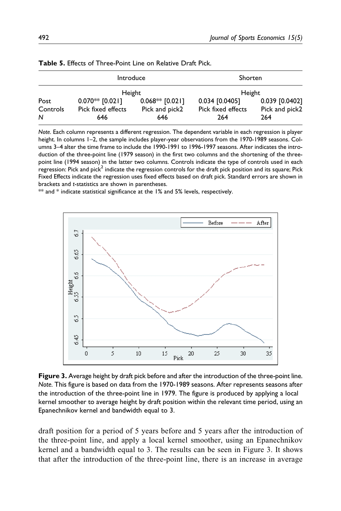|                       | <b>Introduce</b>                                         |                                            | Shorten                                               |                                         |  |
|-----------------------|----------------------------------------------------------|--------------------------------------------|-------------------------------------------------------|-----------------------------------------|--|
| Post<br>Controls<br>N | Height<br>$0.070**$ [0.021]<br>Pick fixed effects<br>646 | $0.068**$ [0.021]<br>Pick and pick2<br>646 | Height<br>0.034 [0.0405]<br>Pick fixed effects<br>264 | 0.039 [0.0402]<br>Pick and pick2<br>264 |  |

|  | <b>Table 5.</b> Effects of Three-Point Line on Relative Draft Pick. |  |
|--|---------------------------------------------------------------------|--|
|--|---------------------------------------------------------------------|--|

Note. Each column represents a different regression. The dependent variable in each regression is player height. In columns 1–2, the sample includes player-year observations from the 1970-1989 seasons. Columns 3–4 alter the time frame to include the 1990-1991 to 1996-1997 seasons. After indicates the introduction of the three-point line (1979 season) in the first two columns and the shortening of the threepoint line (1994 season) in the latter two columns. Controls indicate the type of controls used in each regression: Pick and pick<sup>2</sup> indicate the regression controls for the draft pick position and its square; Pick Fixed Effects indicate the regression uses fixed effects based on draft pick. Standard errors are shown in brackets and t-statistics are shown in parentheses.

 $**$  and  $*$  indicate statistical significance at the 1% and 5% levels, respectively.



Figure 3. Average height by draft pick before and after the introduction of the three-point line. Note. This figure is based on data from the 1970-1989 seasons. After represents seasons after the introduction of the three-point line in 1979. The figure is produced by applying a local kernel smoother to average height by draft position within the relevant time period, using an Epanechnikov kernel and bandwidth equal to 3.

draft position for a period of 5 years before and 5 years after the introduction of the three-point line, and apply a local kernel smoother, using an Epanechnikov kernel and a bandwidth equal to 3. The results can be seen in Figure 3. It shows that after the introduction of the three-point line, there is an increase in average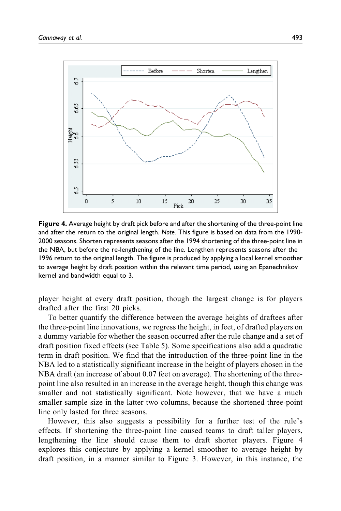

Figure 4. Average height by draft pick before and after the shortening of the three-point line and after the return to the original length. Note. This figure is based on data from the 1990- 2000 seasons. Shorten represents seasons after the 1994 shortening of the three-point line in the NBA, but before the re-lengthening of the line. Lengthen represents seasons after the 1996 return to the original length. The figure is produced by applying a local kernel smoother to average height by draft position within the relevant time period, using an Epanechnikov kernel and bandwidth equal to 3.

player height at every draft position, though the largest change is for players drafted after the first 20 picks.

To better quantify the difference between the average heights of draftees after the three-point line innovations, we regress the height, in feet, of drafted players on a dummy variable for whether the season occurred after the rule change and a set of draft position fixed effects (see Table 5). Some specifications also add a quadratic term in draft position. We find that the introduction of the three-point line in the NBA led to a statistically significant increase in the height of players chosen in the NBA draft (an increase of about 0.07 feet on average). The shortening of the threepoint line also resulted in an increase in the average height, though this change was smaller and not statistically significant. Note however, that we have a much smaller sample size in the latter two columns, because the shortened three-point line only lasted for three seasons.

However, this also suggests a possibility for a further test of the rule's effects. If shortening the three-point line caused teams to draft taller players, lengthening the line should cause them to draft shorter players. Figure 4 explores this conjecture by applying a kernel smoother to average height by draft position, in a manner similar to Figure 3. However, in this instance, the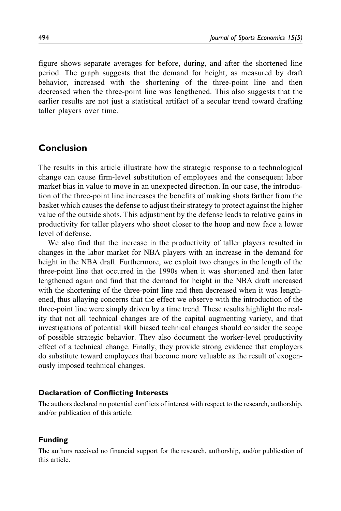figure shows separate averages for before, during, and after the shortened line period. The graph suggests that the demand for height, as measured by draft behavior, increased with the shortening of the three-point line and then decreased when the three-point line was lengthened. This also suggests that the earlier results are not just a statistical artifact of a secular trend toward drafting taller players over time.

# Conclusion

The results in this article illustrate how the strategic response to a technological change can cause firm-level substitution of employees and the consequent labor market bias in value to move in an unexpected direction. In our case, the introduction of the three-point line increases the benefits of making shots farther from the basket which causes the defense to adjust their strategy to protect against the higher value of the outside shots. This adjustment by the defense leads to relative gains in productivity for taller players who shoot closer to the hoop and now face a lower level of defense.

We also find that the increase in the productivity of taller players resulted in changes in the labor market for NBA players with an increase in the demand for height in the NBA draft. Furthermore, we exploit two changes in the length of the three-point line that occurred in the 1990s when it was shortened and then later lengthened again and find that the demand for height in the NBA draft increased with the shortening of the three-point line and then decreased when it was lengthened, thus allaying concerns that the effect we observe with the introduction of the three-point line were simply driven by a time trend. These results highlight the reality that not all technical changes are of the capital augmenting variety, and that investigations of potential skill biased technical changes should consider the scope of possible strategic behavior. They also document the worker-level productivity effect of a technical change. Finally, they provide strong evidence that employers do substitute toward employees that become more valuable as the result of exogenously imposed technical changes.

#### Declaration of Conflicting Interests

The authors declared no potential conflicts of interest with respect to the research, authorship, and/or publication of this article.

#### Funding

The authors received no financial support for the research, authorship, and/or publication of this article.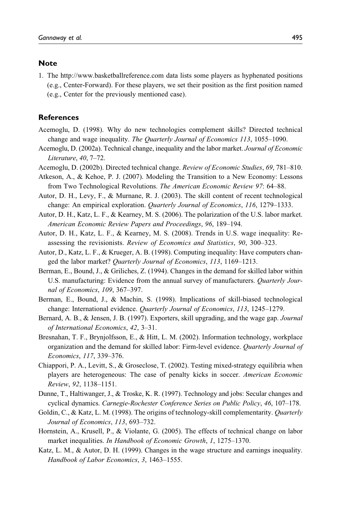### Note

1. The<http://www.basketballreference.com> data lists some players as hyphenated positions (e.g., Center-Forward). For these players, we set their position as the first position named (e.g., Center for the previously mentioned case).

#### **References**

- Acemoglu, D. (1998). Why do new technologies complement skills? Directed technical change and wage inequality. The Quarterly Journal of Economics 113, 1055–1090.
- Acemoglu, D. (2002a). Technical change, inequality and the labor market. Journal of Economic Literature, 40, 7–72.
- Acemoglu, D. (2002b). Directed technical change. Review of Economic Studies, 69, 781–810.
- Atkeson, A., & Kehoe, P. J. (2007). Modeling the Transition to a New Economy: Lessons from Two Technological Revolutions. The American Economic Review 97: 64-88.
- Autor, D. H., Levy, F., & Murnane, R. J. (2003). The skill content of recent technological change: An empirical exploration. Quarterly Journal of Economics, 116, 1279–1333.
- Autor, D. H., Katz, L. F., & Kearney, M. S. (2006). The polarization of the U.S. labor market. American Economic Review Papers and Proceedings, 96, 189–194.
- Autor, D. H., Katz, L. F., & Kearney, M. S. (2008). Trends in U.S. wage inequality: Reassessing the revisionists. Review of Economics and Statistics, 90, 300–323.
- Autor, D., Katz, L. F., & Krueger, A. B. (1998). Computing inequality: Have computers changed the labor market? *Ouarterly Journal of Economics*, 113, 1169-1213.
- Berman, E., Bound, J., & Griliches, Z. (1994). Changes in the demand for skilled labor within U.S. manufacturing: Evidence from the annual survey of manufacturers. Quarterly Journal of Economics, 109, 367–397.
- Berman, E., Bound, J., & Machin, S. (1998). Implications of skill-biased technological change: International evidence. Quarterly Journal of Economics, 113, 1245–1279.
- Bernard, A. B., & Jensen, J. B. (1997). Exporters, skill upgrading, and the wage gap. Journal of International Economics, 42, 3–31.
- Bresnahan, T. F., Brynjolfsson, E., & Hitt, L. M. (2002). Information technology, workplace organization and the demand for skilled labor: Firm-level evidence. Quarterly Journal of Economics, 117, 339–376.
- Chiappori, P. A., Levitt, S., & Groseclose, T. (2002). Testing mixed-strategy equilibria when players are heterogeneous: The case of penalty kicks in soccer. American Economic Review, 92, 1138–1151.
- Dunne, T., Haltiwanger, J., & Troske, K. R. (1997). Technology and jobs: Secular changes and cyclical dynamics. Carnegie-Rochester Conference Series on Public Policy, 46, 107–178.
- Goldin, C., & Katz, L. M. (1998). The origins of technology-skill complementarity. Quarterly Journal of Economics, 113, 693–732.
- Hornstein, A., Krusell, P., & Violante, G. (2005). The effects of technical change on labor market inequalities. In Handbook of Economic Growth, 1, 1275–1370.
- Katz, L. M., & Autor, D. H. (1999). Changes in the wage structure and earnings inequality. Handbook of Labor Economics, 3, 1463–1555.